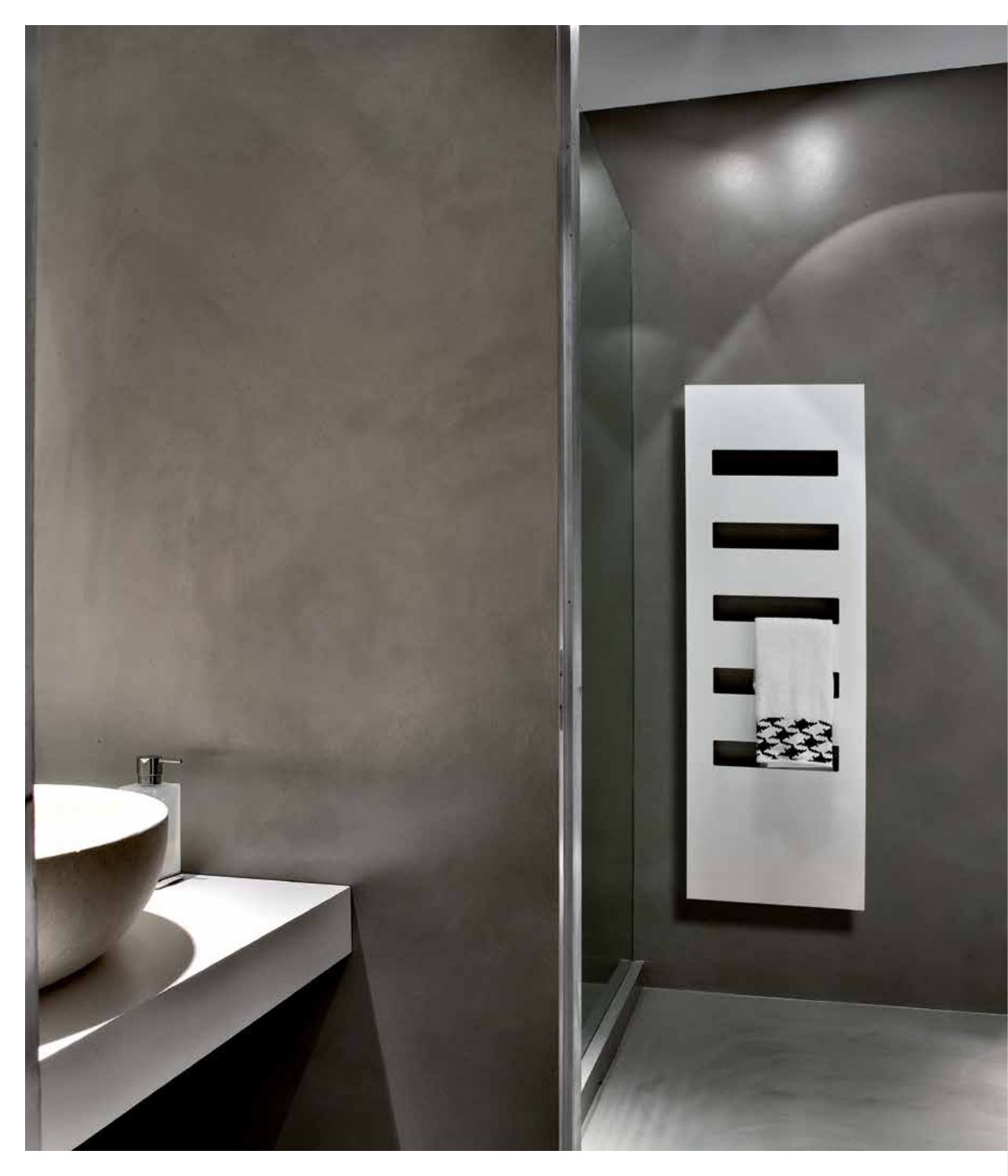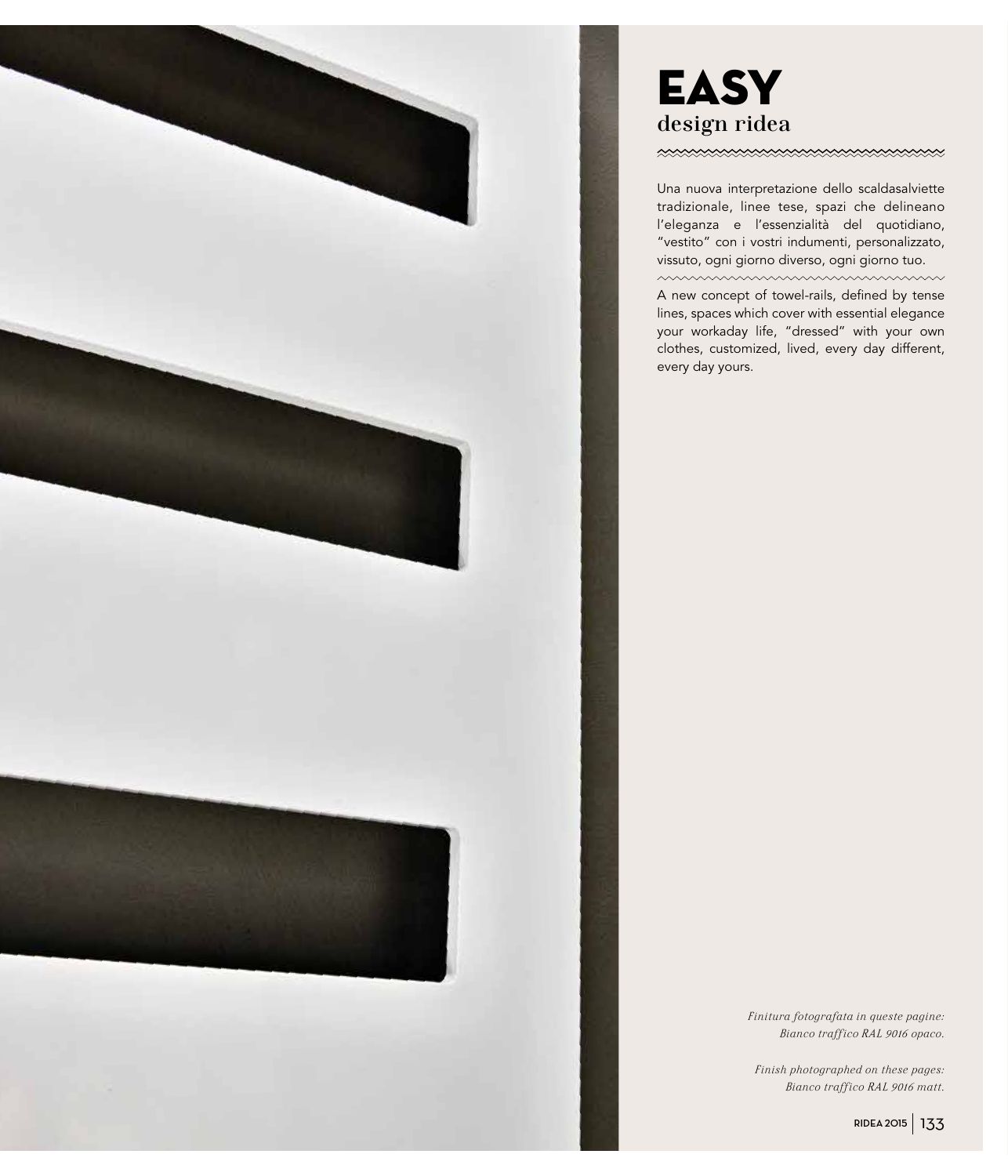

## **EASY design ridea**

Una nuova interpretazione dello scaldasalviette tradizionale, linee tese, spazi che delineano l'eleganza e l'essenzialità del quotidiano, "vestito" con i vostri indumenti, personalizzato, vissuto, ogni giorno diverso, ogni giorno tuo.

 $\small \begin{minipage}{0.5\linewidth} \begin{minipage}{0.5\linewidth} \begin{minipage}{0.5\linewidth} \end{minipage} \begin{minipage}{0.5\linewidth} \end{minipage} \begin{minipage}{0.5\linewidth} \begin{minipage}{0.5\linewidth} \end{minipage} \begin{minipage}{0.5\linewidth} \end{minipage} \begin{minipage}{0.5\linewidth} \end{minipage} \begin{minipage}{0.5\linewidth} \end{minipage} \begin{minipage}{0.5\linewidth} \end{minipage} \begin{minipage}{0.5\linewidth} \end{minipage} \begin{minipage}{0.5\linewidth} \end{minipage$ 

A new concept of towel-rails, defined by tense lines, spaces which cover with essential elegance your workaday life, "dressed" with your own clothes, customized, lived, every day different, every day yours.

www.www.www.www.ww

*Finitura fotografata in queste pagine: Bianco traffico RAL 9016 opaco.*

*Finish photographed on these pages: Bianco traffico RAL 9016 matt.*

**RIDEA 2015** 133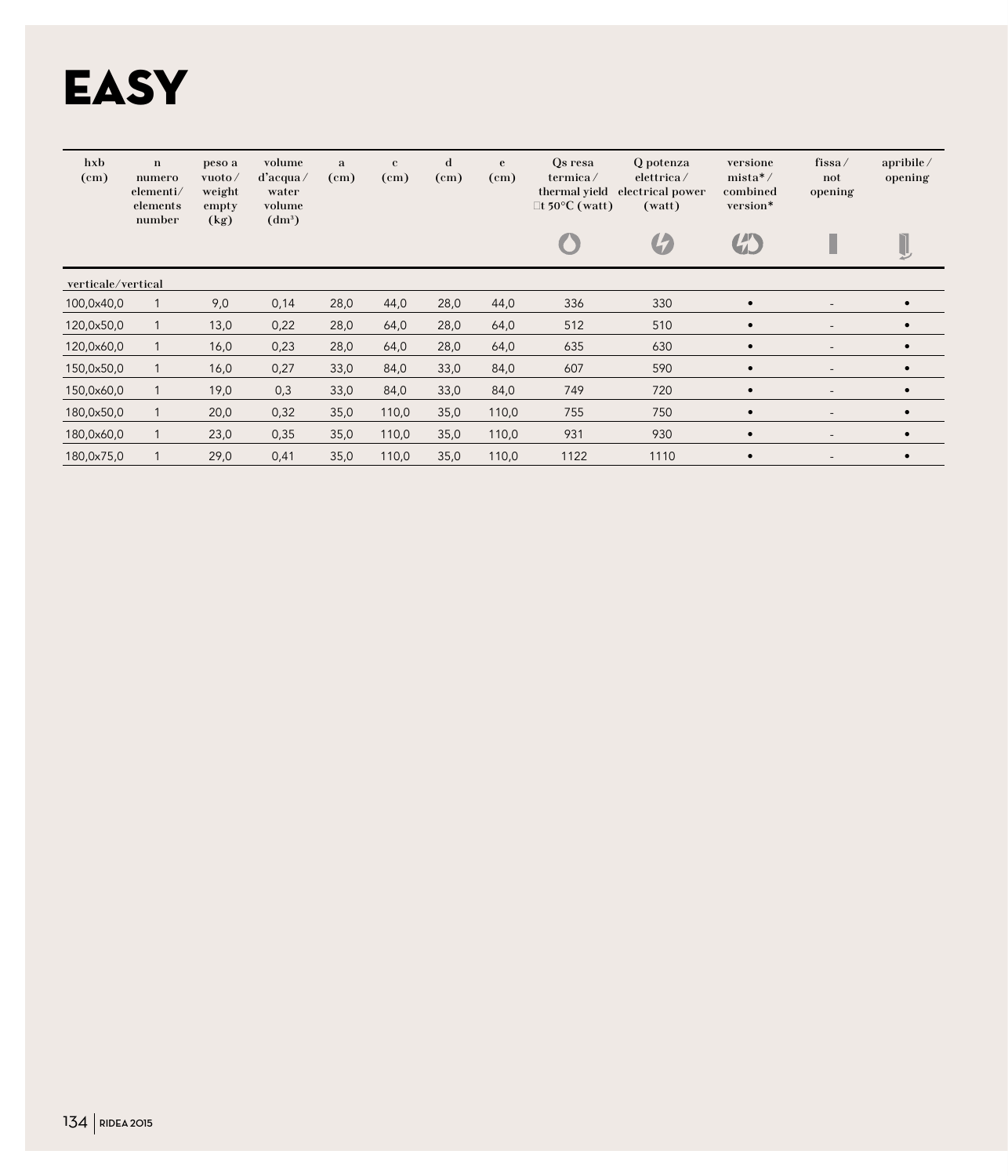

| hxb<br>$\text{(cm)}$ | $\mathbf n$<br>numero<br>elementi/<br>elements<br>number | peso a<br>vuoto/<br>weight<br>empty<br>(kg) | volume<br>d'acqua /<br>water<br>volume<br>(dm <sup>3</sup> ) | a<br>$\text{(cm)}$ | $\mathbf{c}$<br>$\text{(cm)}$ | d<br>$\text{(cm)}$ | e<br>$\text{(cm)}$ | Os resa<br>termica/<br>thermal yield<br>$\Box t$ 50 $\degree$ C (watt) | O potenza<br>elettrica/<br>electrical power<br>(watt) | versione<br>$mista*/$<br>combined<br>version* | fissa/<br>not<br>opening | apribile/<br>opening |
|----------------------|----------------------------------------------------------|---------------------------------------------|--------------------------------------------------------------|--------------------|-------------------------------|--------------------|--------------------|------------------------------------------------------------------------|-------------------------------------------------------|-----------------------------------------------|--------------------------|----------------------|
|                      |                                                          |                                             |                                                              |                    |                               |                    |                    | $\mathbf O$                                                            | $\bullet$                                             | 40                                            |                          |                      |
| verticale/vertical   |                                                          |                                             |                                                              |                    |                               |                    |                    |                                                                        |                                                       |                                               |                          |                      |
| 100,0x40,0           |                                                          | 9,0                                         | 0,14                                                         | 28,0               | 44,0                          | 28,0               | 44,0               | 336                                                                    | 330                                                   | $\bullet$                                     | $\overline{\phantom{a}}$ | $\bullet$            |
| 120,0x50,0           |                                                          | 13,0                                        | 0,22                                                         | 28,0               | 64,0                          | 28,0               | 64,0               | 512                                                                    | 510                                                   | $\bullet$                                     | $\overline{\phantom{a}}$ | $\bullet$            |
| 120,0x60,0           |                                                          | 16,0                                        | 0,23                                                         | 28,0               | 64,0                          | 28,0               | 64,0               | 635                                                                    | 630                                                   | $\bullet$                                     | $\overline{\phantom{a}}$ | $\bullet$            |
| 150,0x50,0           |                                                          | 16,0                                        | 0,27                                                         | 33,0               | 84,0                          | 33,0               | 84,0               | 607                                                                    | 590                                                   | $\bullet$                                     | $\overline{\phantom{a}}$ | $\bullet$            |
| 150,0x60,0           |                                                          | 19,0                                        | 0,3                                                          | 33,0               | 84,0                          | 33,0               | 84,0               | 749                                                                    | 720                                                   | $\bullet$                                     | $\overline{\phantom{a}}$ | $\bullet$            |
| 180,0x50,0           |                                                          | 20,0                                        | 0,32                                                         | 35,0               | 110,0                         | 35,0               | 110,0              | 755                                                                    | 750                                                   | $\bullet$                                     | $\overline{\phantom{a}}$ | $\bullet$            |
| 180,0x60,0           |                                                          | 23,0                                        | 0,35                                                         | 35,0               | 110,0                         | 35,0               | 110,0              | 931                                                                    | 930                                                   | $\bullet$                                     | $\overline{\phantom{a}}$ | $\bullet$            |
| 180,0x75,0           |                                                          | 29,0                                        | 0,41                                                         | 35,0               | 110,0                         | 35,0               | 110,0              | 1122                                                                   | 1110                                                  | $\bullet$                                     | $\sim$                   | $\bullet$            |